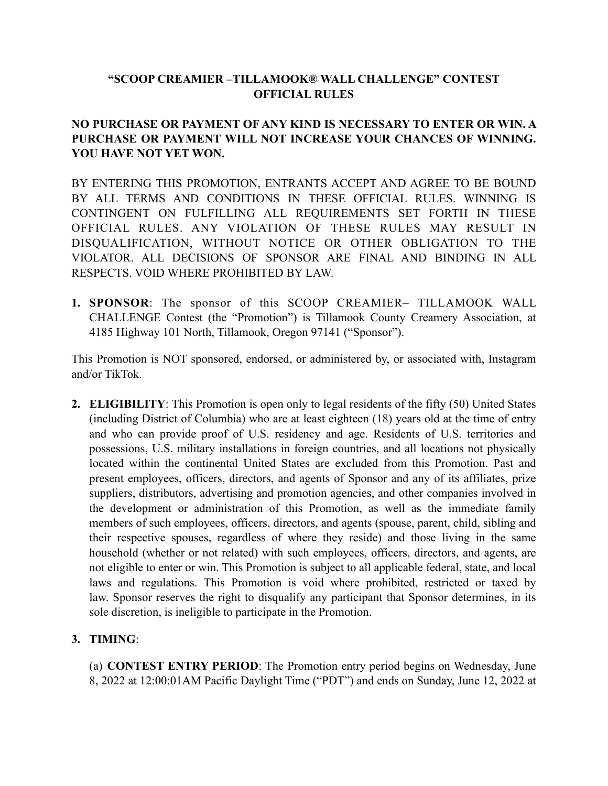## **"SCOOP CREAMIER –TILLAMOOK® WALL CHALLENGE" CONTEST OFFICIAL RULES**

# **NO PURCHASE OR PAYMENT OF ANY KIND IS NECESSARY TO ENTER OR WIN. A PURCHASE OR PAYMENT WILL NOT INCREASE YOUR CHANCES OF WINNING. YOU HAVE NOT YET WON.**

BY ENTERING THIS PROMOTION, ENTRANTS ACCEPT AND AGREE TO BE BOUND BY ALL TERMS AND CONDITIONS IN THESE OFFICIAL RULES. WINNING IS CONTINGENT ON FULFILLING ALL REQUIREMENTS SET FORTH IN THESE OFFICIAL RULES. ANY VIOLATION OF THESE RULES MAY RESULT IN DISQUALIFICATION, WITHOUT NOTICE OR OTHER OBLIGATION TO THE VIOLATOR. ALL DECISIONS OF SPONSOR ARE FINAL AND BINDING IN ALL RESPECTS. VOID WHERE PROHIBITED BY LAW.

**1. SPONSOR**: The sponsor of this SCOOP CREAMIER– TILLAMOOK WALL CHALLENGE Contest (the "Promotion") is Tillamook County Creamery Association, at 4185 Highway 101 North, Tillamook, Oregon 97141 ("Sponsor").

This Promotion is NOT sponsored, endorsed, or administered by, or associated with, Instagram and/or TikTok.

**2. ELIGIBILITY**: This Promotion is open only to legal residents of the fifty (50) United States (including District of Columbia) who are at least eighteen (18) years old at the time of entry and who can provide proof of U.S. residency and age. Residents of U.S. territories and possessions, U.S. military installations in foreign countries, and all locations not physically located within the continental United States are excluded from this Promotion. Past and present employees, officers, directors, and agents of Sponsor and any of its affiliates, prize suppliers, distributors, advertising and promotion agencies, and other companies involved in the development or administration of this Promotion, as well as the immediate family members of such employees, officers, directors, and agents (spouse, parent, child, sibling and their respective spouses, regardless of where they reside) and those living in the same household (whether or not related) with such employees, officers, directors, and agents, are not eligible to enter or win. This Promotion is subject to all applicable federal, state, and local laws and regulations. This Promotion is void where prohibited, restricted or taxed by law. Sponsor reserves the right to disqualify any participant that Sponsor determines, in its sole discretion, is ineligible to participate in the Promotion.

### **3. TIMING**:

(a) **CONTEST ENTRY PERIOD**: The Promotion entry period begins on Wednesday, June 8, 2022 at 12:00:01AM Pacific Daylight Time ("PDT") and ends on Sunday, June 12, 2022 at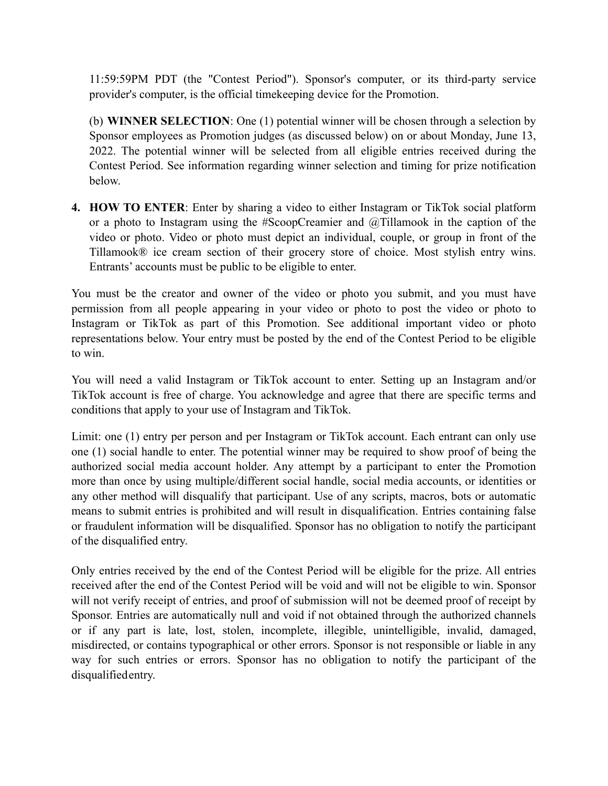11:59:59PM PDT (the "Contest Period"). Sponsor's computer, or its third-party service provider's computer, is the official timekeeping device for the Promotion.

(b) **WINNER SELECTION**: One (1) potential winner will be chosen through a selection by Sponsor employees as Promotion judges (as discussed below) on or about Monday, June 13, 2022. The potential winner will be selected from all eligible entries received during the Contest Period. See information regarding winner selection and timing for prize notification below.

**4. HOW TO ENTER**: Enter by sharing a video to either Instagram or TikTok social platform or a photo to Instagram using the #ScoopCreamier and @Tillamook in the caption of the video or photo. Video or photo must depict an individual, couple, or group in front of the Tillamook® ice cream section of their grocery store of choice. Most stylish entry wins. Entrants' accounts must be public to be eligible to enter.

You must be the creator and owner of the video or photo you submit, and you must have permission from all people appearing in your video or photo to post the video or photo to Instagram or TikTok as part of this Promotion. See additional important video or photo representations below. Your entry must be posted by the end of the Contest Period to be eligible to win.

You will need a valid Instagram or TikTok account to enter. Setting up an Instagram and/or TikTok account is free of charge. You acknowledge and agree that there are specific terms and conditions that apply to your use of Instagram and TikTok.

Limit: one (1) entry per person and per Instagram or TikTok account. Each entrant can only use one (1) social handle to enter. The potential winner may be required to show proof of being the authorized social media account holder. Any attempt by a participant to enter the Promotion more than once by using multiple/different social handle, social media accounts, or identities or any other method will disqualify that participant. Use of any scripts, macros, bots or automatic means to submit entries is prohibited and will result in disqualification. Entries containing false or fraudulent information will be disqualified. Sponsor has no obligation to notify the participant of the disqualified entry.

Only entries received by the end of the Contest Period will be eligible for the prize. All entries received after the end of the Contest Period will be void and will not be eligible to win. Sponsor will not verify receipt of entries, and proof of submission will not be deemed proof of receipt by Sponsor. Entries are automatically null and void if not obtained through the authorized channels or if any part is late, lost, stolen, incomplete, illegible, unintelligible, invalid, damaged, misdirected, or contains typographical or other errors. Sponsor is not responsible or liable in any way for such entries or errors. Sponsor has no obligation to notify the participant of the disqualifiedentry.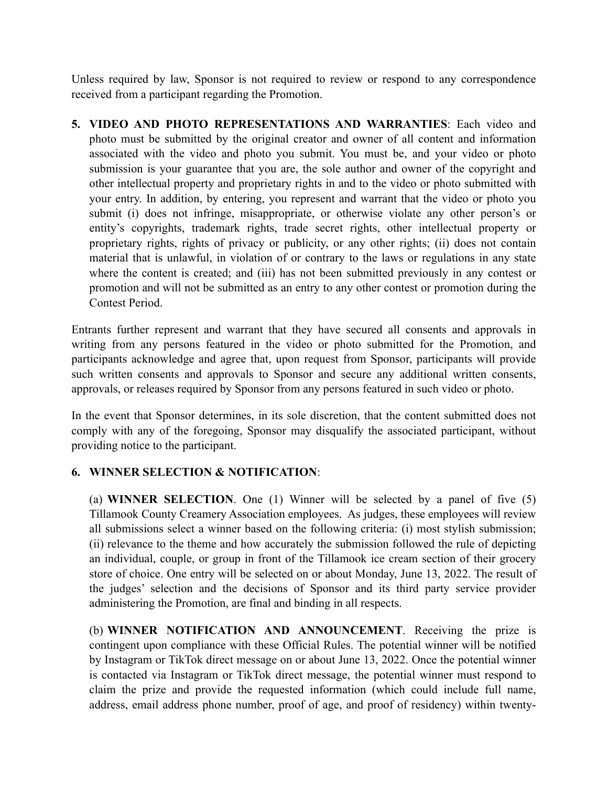Unless required by law, Sponsor is not required to review or respond to any correspondence received from a participant regarding the Promotion.

**5. VIDEO AND PHOTO REPRESENTATIONS AND WARRANTIES**: Each video and photo must be submitted by the original creator and owner of all content and information associated with the video and photo you submit. You must be, and your video or photo submission is your guarantee that you are, the sole author and owner of the copyright and other intellectual property and proprietary rights in and to the video or photo submitted with your entry. In addition, by entering, you represent and warrant that the video or photo you submit (i) does not infringe, misappropriate, or otherwise violate any other person's or entity's copyrights, trademark rights, trade secret rights, other intellectual property or proprietary rights, rights of privacy or publicity, or any other rights; (ii) does not contain material that is unlawful, in violation of or contrary to the laws or regulations in any state where the content is created; and (iii) has not been submitted previously in any contest or promotion and will not be submitted as an entry to any other contest or promotion during the Contest Period.

Entrants further represent and warrant that they have secured all consents and approvals in writing from any persons featured in the video or photo submitted for the Promotion, and participants acknowledge and agree that, upon request from Sponsor, participants will provide such written consents and approvals to Sponsor and secure any additional written consents, approvals, or releases required by Sponsor from any persons featured in such video or photo.

In the event that Sponsor determines, in its sole discretion, that the content submitted does not comply with any of the foregoing, Sponsor may disqualify the associated participant, without providing notice to the participant.

# **6. WINNER SELECTION & NOTIFICATION**:

(a) **WINNER SELECTION**. One (1) Winner will be selected by a panel of five (5) Tillamook County Creamery Association employees. As judges, these employees will review all submissions select a winner based on the following criteria: (i) most stylish submission; (ii) relevance to the theme and how accurately the submission followed the rule of depicting an individual, couple, or group in front of the Tillamook ice cream section of their grocery store of choice. One entry will be selected on or about Monday, June 13, 2022. The result of the judges' selection and the decisions of Sponsor and its third party service provider administering the Promotion, are final and binding in all respects.

(b) **WINNER NOTIFICATION AND ANNOUNCEMENT**. Receiving the prize is contingent upon compliance with these Official Rules. The potential winner will be notified by Instagram or TikTok direct message on or about June 13, 2022. Once the potential winner is contacted via Instagram or TikTok direct message, the potential winner must respond to claim the prize and provide the requested information (which could include full name, address, email address phone number, proof of age, and proof of residency) within twenty-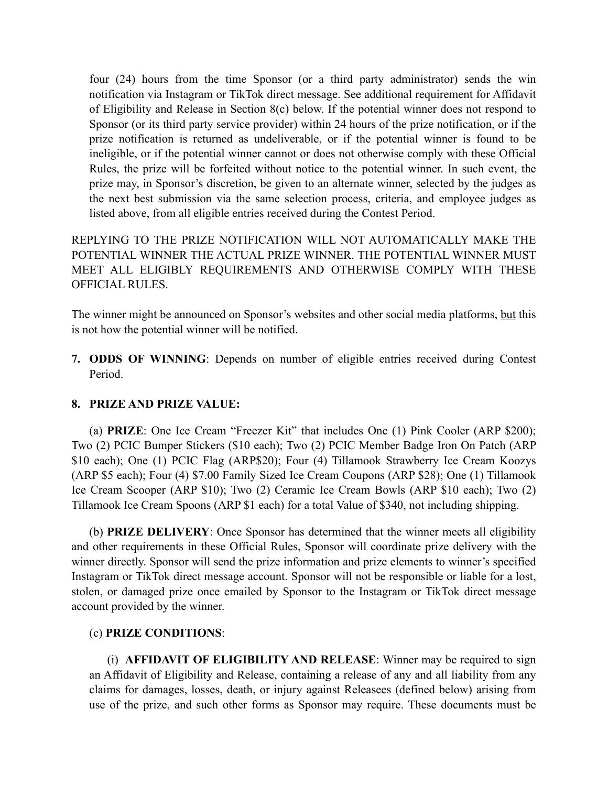four (24) hours from the time Sponsor (or a third party administrator) sends the win notification via Instagram or TikTok direct message. See additional requirement for Affidavit of Eligibility and Release in Section 8(c) below. If the potential winner does not respond to Sponsor (or its third party service provider) within 24 hours of the prize notification, or if the prize notification is returned as undeliverable, or if the potential winner is found to be ineligible, or if the potential winner cannot or does not otherwise comply with these Official Rules, the prize will be forfeited without notice to the potential winner. In such event, the prize may, in Sponsor's discretion, be given to an alternate winner, selected by the judges as the next best submission via the same selection process, criteria, and employee judges as listed above, from all eligible entries received during the Contest Period.

REPLYING TO THE PRIZE NOTIFICATION WILL NOT AUTOMATICALLY MAKE THE POTENTIAL WINNER THE ACTUAL PRIZE WINNER. THE POTENTIAL WINNER MUST MEET ALL ELIGIBLY REQUIREMENTS AND OTHERWISE COMPLY WITH THESE OFFICIAL RULES.

The winner might be announced on Sponsor's websites and other social media platforms, but this is not how the potential winner will be notified.

**7. ODDS OF WINNING**: Depends on number of eligible entries received during Contest Period.

### **8. PRIZE AND PRIZE VALUE:**

(a) **PRIZE**: One Ice Cream "Freezer Kit" that includes One (1) Pink Cooler (ARP \$200); Two (2) PCIC Bumper Stickers (\$10 each); Two (2) PCIC Member Badge Iron On Patch (ARP \$10 each); One (1) PCIC Flag (ARP\$20); Four (4) Tillamook Strawberry Ice Cream Koozys (ARP \$5 each); Four (4) \$7.00 Family Sized Ice Cream Coupons (ARP \$28); One (1) Tillamook Ice Cream Scooper (ARP \$10); Two (2) Ceramic Ice Cream Bowls (ARP \$10 each); Two (2) Tillamook Ice Cream Spoons (ARP \$1 each) for a total Value of \$340, not including shipping.

(b) **PRIZE DELIVERY**: Once Sponsor has determined that the winner meets all eligibility and other requirements in these Official Rules, Sponsor will coordinate prize delivery with the winner directly. Sponsor will send the prize information and prize elements to winner's specified Instagram or TikTok direct message account. Sponsor will not be responsible or liable for a lost, stolen, or damaged prize once emailed by Sponsor to the Instagram or TikTok direct message account provided by the winner.

#### (c) **PRIZE CONDITIONS**:

(i) **AFFIDAVIT OF ELIGIBILITY AND RELEASE**: Winner may be required to sign an Affidavit of Eligibility and Release, containing a release of any and all liability from any claims for damages, losses, death, or injury against Releasees (defined below) arising from use of the prize, and such other forms as Sponsor may require. These documents must be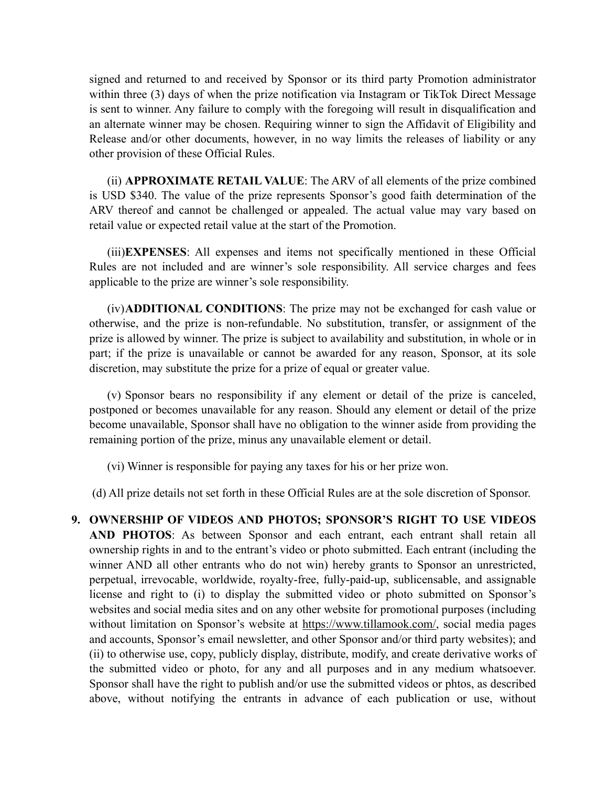signed and returned to and received by Sponsor or its third party Promotion administrator within three (3) days of when the prize notification via Instagram or TikTok Direct Message is sent to winner. Any failure to comply with the foregoing will result in disqualification and an alternate winner may be chosen. Requiring winner to sign the Affidavit of Eligibility and Release and/or other documents, however, in no way limits the releases of liability or any other provision of these Official Rules.

(ii) **APPROXIMATE RETAIL VALUE**: The ARV of all elements of the prize combined is USD \$340. The value of the prize represents Sponsor's good faith determination of the ARV thereof and cannot be challenged or appealed. The actual value may vary based on retail value or expected retail value at the start of the Promotion.

(iii)**EXPENSES**: All expenses and items not specifically mentioned in these Official Rules are not included and are winner's sole responsibility. All service charges and fees applicable to the prize are winner's sole responsibility.

(iv)**ADDITIONAL CONDITIONS**: The prize may not be exchanged for cash value or otherwise, and the prize is non-refundable. No substitution, transfer, or assignment of the prize is allowed by winner. The prize is subject to availability and substitution, in whole or in part; if the prize is unavailable or cannot be awarded for any reason, Sponsor, at its sole discretion, may substitute the prize for a prize of equal or greater value.

(v) Sponsor bears no responsibility if any element or detail of the prize is canceled, postponed or becomes unavailable for any reason. Should any element or detail of the prize become unavailable, Sponsor shall have no obligation to the winner aside from providing the remaining portion of the prize, minus any unavailable element or detail.

(vi) Winner is responsible for paying any taxes for his or her prize won.

(d) All prize details not set forth in these Official Rules are at the sole discretion of Sponsor.

**9. OWNERSHIP OF VIDEOS AND PHOTOS; SPONSOR'S RIGHT TO USE VIDEOS AND PHOTOS**: As between Sponsor and each entrant, each entrant shall retain all ownership rights in and to the entrant's video or photo submitted. Each entrant (including the winner AND all other entrants who do not win) hereby grants to Sponsor an unrestricted, perpetual, irrevocable, worldwide, royalty-free, fully-paid-up, sublicensable, and assignable license and right to (i) to display the submitted video or photo submitted on Sponsor's websites and social media sites and on any other website for promotional purposes (including without limitation on Sponsor's website at https://www.tillamook.com/, social media pages and accounts, Sponsor's email newsletter, and other Sponsor and/or third party websites); and (ii) to otherwise use, copy, publicly display, distribute, modify, and create derivative works of the submitted video or photo, for any and all purposes and in any medium whatsoever. Sponsor shall have the right to publish and/or use the submitted videos or phtos, as described above, without notifying the entrants in advance of each publication or use, without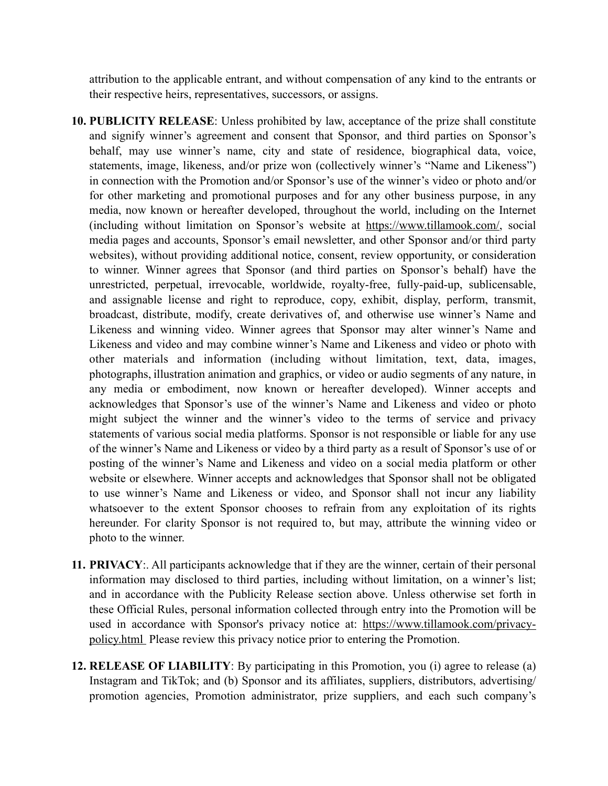attribution to the applicable entrant, and without compensation of any kind to the entrants or their respective heirs, representatives, successors, or assigns.

- **10. PUBLICITY RELEASE**: Unless prohibited by law, acceptance of the prize shall constitute and signify winner's agreement and consent that Sponsor, and third parties on Sponsor's behalf, may use winner's name, city and state of residence, biographical data, voice, statements, image, likeness, and/or prize won (collectively winner's "Name and Likeness") in connection with the Promotion and/or Sponsor's use of the winner's video or photo and/or for other marketing and promotional purposes and for any other business purpose, in any media, now known or hereafter developed, throughout the world, including on the Internet (including without limitation on Sponsor's website at https://www.tillamook.com/, social media pages and accounts, Sponsor's email newsletter, and other Sponsor and/or third party websites), without providing additional notice, consent, review opportunity, or consideration to winner. Winner agrees that Sponsor (and third parties on Sponsor's behalf) have the unrestricted, perpetual, irrevocable, worldwide, royalty-free, fully-paid-up, sublicensable, and assignable license and right to reproduce, copy, exhibit, display, perform, transmit, broadcast, distribute, modify, create derivatives of, and otherwise use winner's Name and Likeness and winning video. Winner agrees that Sponsor may alter winner's Name and Likeness and video and may combine winner's Name and Likeness and video or photo with other materials and information (including without limitation, text, data, images, photographs, illustration animation and graphics, or video or audio segments of any nature, in any media or embodiment, now known or hereafter developed). Winner accepts and acknowledges that Sponsor's use of the winner's Name and Likeness and video or photo might subject the winner and the winner's video to the terms of service and privacy statements of various social media platforms. Sponsor is not responsible or liable for any use of the winner's Name and Likeness or video by a third party as a result of Sponsor's use of or posting of the winner's Name and Likeness and video on a social media platform or other website or elsewhere. Winner accepts and acknowledges that Sponsor shall not be obligated to use winner's Name and Likeness or video, and Sponsor shall not incur any liability whatsoever to the extent Sponsor chooses to refrain from any exploitation of its rights hereunder. For clarity Sponsor is not required to, but may, attribute the winning video or photo to the winner.
- **11. PRIVACY**:. All participants acknowledge that if they are the winner, certain of their personal information may disclosed to third parties, including without limitation, on a winner's list; and in accordance with the Publicity Release section above. Unless otherwise set forth in these Official Rules, personal information collected through entry into the Promotion will be used in accordance with Sponsor's privacy notice at: [https://www.tillamook.com/privacy](https://www.tillamook.com/privacy-policy.html)[policy.html](https://www.tillamook.com/privacy-policy.html) Please review this privacy notice prior to entering the Promotion.
- **12. RELEASE OF LIABILITY**: By participating in this Promotion, you (i) agree to release (a) Instagram and TikTok; and (b) Sponsor and its affiliates, suppliers, distributors, advertising/ promotion agencies, Promotion administrator, prize suppliers, and each such company's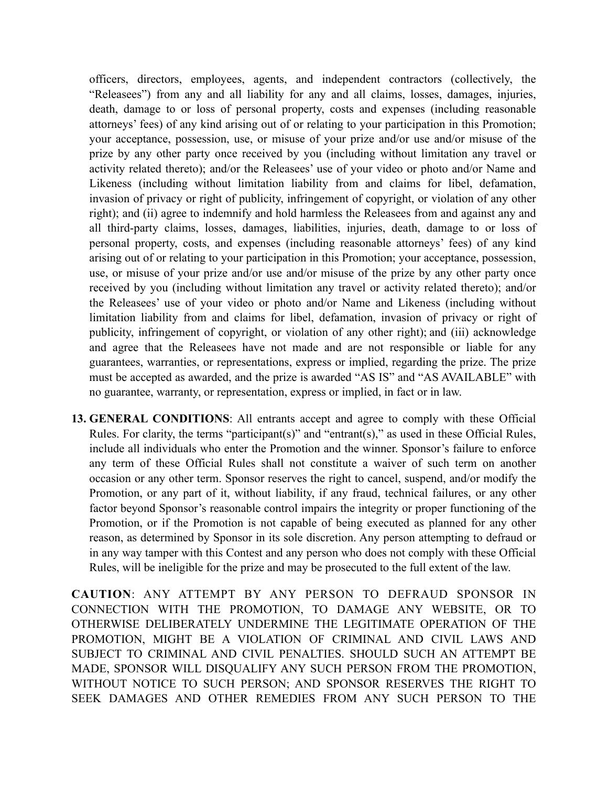officers, directors, employees, agents, and independent contractors (collectively, the "Releasees") from any and all liability for any and all claims, losses, damages, injuries, death, damage to or loss of personal property, costs and expenses (including reasonable attorneys' fees) of any kind arising out of or relating to your participation in this Promotion; your acceptance, possession, use, or misuse of your prize and/or use and/or misuse of the prize by any other party once received by you (including without limitation any travel or activity related thereto); and/or the Releasees' use of your video or photo and/or Name and Likeness (including without limitation liability from and claims for libel, defamation, invasion of privacy or right of publicity, infringement of copyright, or violation of any other right); and (ii) agree to indemnify and hold harmless the Releasees from and against any and all third-party claims, losses, damages, liabilities, injuries, death, damage to or loss of personal property, costs, and expenses (including reasonable attorneys' fees) of any kind arising out of or relating to your participation in this Promotion; your acceptance, possession, use, or misuse of your prize and/or use and/or misuse of the prize by any other party once received by you (including without limitation any travel or activity related thereto); and/or the Releasees' use of your video or photo and/or Name and Likeness (including without limitation liability from and claims for libel, defamation, invasion of privacy or right of publicity, infringement of copyright, or violation of any other right); and (iii) acknowledge and agree that the Releasees have not made and are not responsible or liable for any guarantees, warranties, or representations, express or implied, regarding the prize. The prize must be accepted as awarded, and the prize is awarded "AS IS" and "AS AVAILABLE" with no guarantee, warranty, or representation, express or implied, in fact or in law.

**13. GENERAL CONDITIONS**: All entrants accept and agree to comply with these Official Rules. For clarity, the terms "participant(s)" and "entrant(s)," as used in these Official Rules, include all individuals who enter the Promotion and the winner. Sponsor's failure to enforce any term of these Official Rules shall not constitute a waiver of such term on another occasion or any other term. Sponsor reserves the right to cancel, suspend, and/or modify the Promotion, or any part of it, without liability, if any fraud, technical failures, or any other factor beyond Sponsor's reasonable control impairs the integrity or proper functioning of the Promotion, or if the Promotion is not capable of being executed as planned for any other reason, as determined by Sponsor in its sole discretion. Any person attempting to defraud or in any way tamper with this Contest and any person who does not comply with these Official Rules, will be ineligible for the prize and may be prosecuted to the full extent of the law.

**CAUTION**: ANY ATTEMPT BY ANY PERSON TO DEFRAUD SPONSOR IN CONNECTION WITH THE PROMOTION, TO DAMAGE ANY WEBSITE, OR TO OTHERWISE DELIBERATELY UNDERMINE THE LEGITIMATE OPERATION OF THE PROMOTION, MIGHT BE A VIOLATION OF CRIMINAL AND CIVIL LAWS AND SUBJECT TO CRIMINAL AND CIVIL PENALTIES. SHOULD SUCH AN ATTEMPT BE MADE, SPONSOR WILL DISQUALIFY ANY SUCH PERSON FROM THE PROMOTION, WITHOUT NOTICE TO SUCH PERSON; AND SPONSOR RESERVES THE RIGHT TO SEEK DAMAGES AND OTHER REMEDIES FROM ANY SUCH PERSON TO THE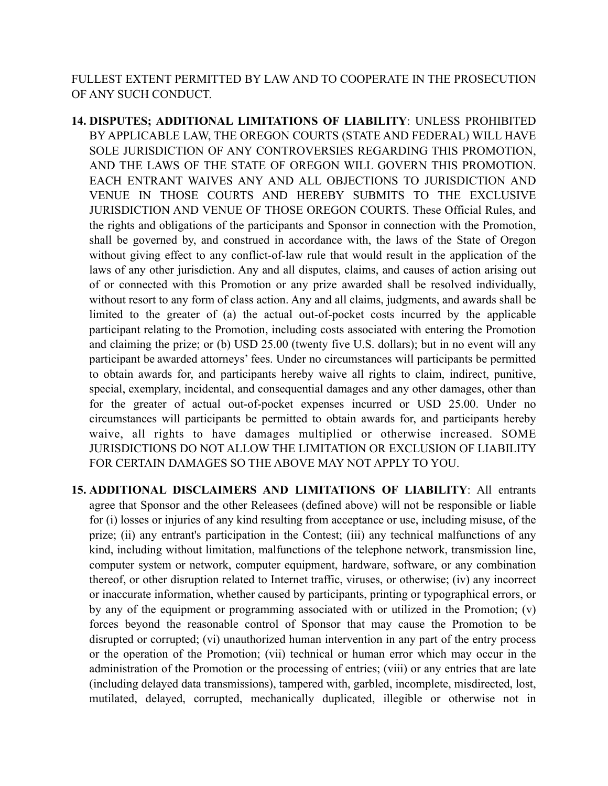FULLEST EXTENT PERMITTED BY LAW AND TO COOPERATE IN THE PROSECUTION OF ANY SUCH CONDUCT.

- **14. DISPUTES; ADDITIONAL LIMITATIONS OF LIABILITY**: UNLESS PROHIBITED BY APPLICABLE LAW, THE OREGON COURTS (STATE AND FEDERAL) WILL HAVE SOLE JURISDICTION OF ANY CONTROVERSIES REGARDING THIS PROMOTION, AND THE LAWS OF THE STATE OF OREGON WILL GOVERN THIS PROMOTION. EACH ENTRANT WAIVES ANY AND ALL OBJECTIONS TO JURISDICTION AND VENUE IN THOSE COURTS AND HEREBY SUBMITS TO THE EXCLUSIVE JURISDICTION AND VENUE OF THOSE OREGON COURTS. These Official Rules, and the rights and obligations of the participants and Sponsor in connection with the Promotion, shall be governed by, and construed in accordance with, the laws of the State of Oregon without giving effect to any conflict-of-law rule that would result in the application of the laws of any other jurisdiction. Any and all disputes, claims, and causes of action arising out of or connected with this Promotion or any prize awarded shall be resolved individually, without resort to any form of class action. Any and all claims, judgments, and awards shall be limited to the greater of (a) the actual out-of-pocket costs incurred by the applicable participant relating to the Promotion, including costs associated with entering the Promotion and claiming the prize; or (b) USD 25.00 (twenty five U.S. dollars); but in no event will any participant be awarded attorneys' fees. Under no circumstances will participants be permitted to obtain awards for, and participants hereby waive all rights to claim, indirect, punitive, special, exemplary, incidental, and consequential damages and any other damages, other than for the greater of actual out-of-pocket expenses incurred or USD 25.00. Under no circumstances will participants be permitted to obtain awards for, and participants hereby waive, all rights to have damages multiplied or otherwise increased. SOME JURISDICTIONS DO NOT ALLOW THE LIMITATION OR EXCLUSION OF LIABILITY FOR CERTAIN DAMAGES SO THE ABOVE MAY NOT APPLY TO YOU.
- **15. ADDITIONAL DISCLAIMERS AND LIMITATIONS OF LIABILITY**: All entrants agree that Sponsor and the other Releasees (defined above) will not be responsible or liable for (i) losses or injuries of any kind resulting from acceptance or use, including misuse, of the prize; (ii) any entrant's participation in the Contest; (iii) any technical malfunctions of any kind, including without limitation, malfunctions of the telephone network, transmission line, computer system or network, computer equipment, hardware, software, or any combination thereof, or other disruption related to Internet traffic, viruses, or otherwise; (iv) any incorrect or inaccurate information, whether caused by participants, printing or typographical errors, or by any of the equipment or programming associated with or utilized in the Promotion; (v) forces beyond the reasonable control of Sponsor that may cause the Promotion to be disrupted or corrupted; (vi) unauthorized human intervention in any part of the entry process or the operation of the Promotion; (vii) technical or human error which may occur in the administration of the Promotion or the processing of entries; (viii) or any entries that are late (including delayed data transmissions), tampered with, garbled, incomplete, misdirected, lost, mutilated, delayed, corrupted, mechanically duplicated, illegible or otherwise not in